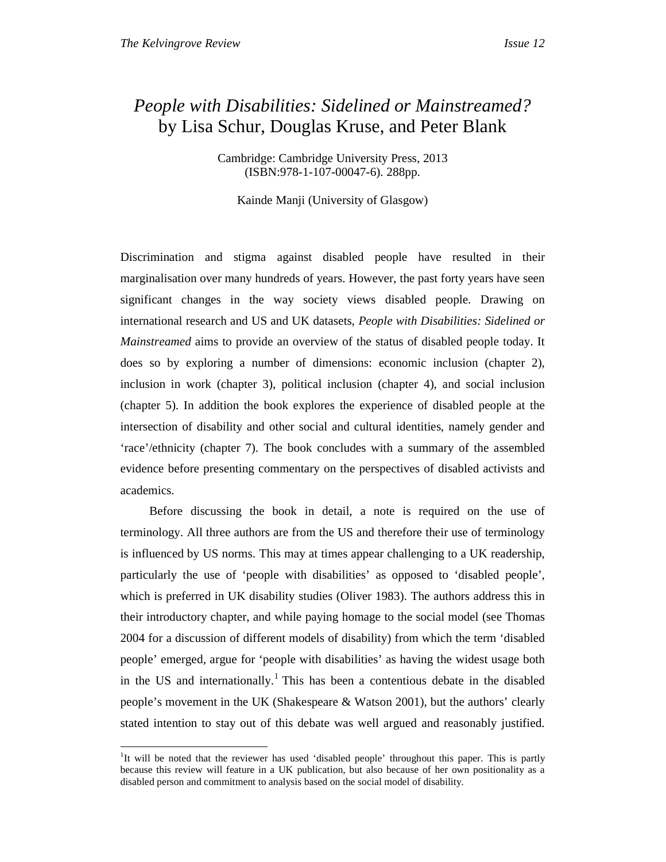$\overline{a}$ 

## *People with Disabilities: Sidelined or Mainstreamed?*  by Lisa Schur, Douglas Kruse, and Peter Blank

Cambridge: Cambridge University Press, 2013 (ISBN:978-1-107-00047-6). 288pp.

Kainde Manji (University of Glasgow)

Discrimination and stigma against disabled people have resulted in their marginalisation over many hundreds of years. However, the past forty years have seen significant changes in the way society views disabled people. Drawing on international research and US and UK datasets, *People with Disabilities: Sidelined or Mainstreamed* aims to provide an overview of the status of disabled people today. It does so by exploring a number of dimensions: economic inclusion (chapter 2), inclusion in work (chapter 3), political inclusion (chapter 4), and social inclusion (chapter 5). In addition the book explores the experience of disabled people at the intersection of disability and other social and cultural identities, namely gender and 'race'/ethnicity (chapter 7). The book concludes with a summary of the assembled evidence before presenting commentary on the perspectives of disabled activists and academics.

Before discussing the book in detail, a note is required on the use of terminology. All three authors are from the US and therefore their use of terminology is influenced by US norms. This may at times appear challenging to a UK readership, particularly the use of 'people with disabilities' as opposed to 'disabled people', which is preferred in UK disability studies (Oliver 1983). The authors address this in their introductory chapter, and while paying homage to the social model (see Thomas 2004 for a discussion of different models of disability) from which the term 'disabled people' emerged, argue for 'people with disabilities' as having the widest usage both in the US and internationally.<sup>1</sup> This has been a contentious debate in the disabled people's movement in the UK (Shakespeare & Watson 2001), but the authors' clearly stated intention to stay out of this debate was well argued and reasonably justified.

<sup>&</sup>lt;sup>1</sup>It will be noted that the reviewer has used 'disabled people' throughout this paper. This is partly because this review will feature in a UK publication, but also because of her own positionality as a disabled person and commitment to analysis based on the social model of disability.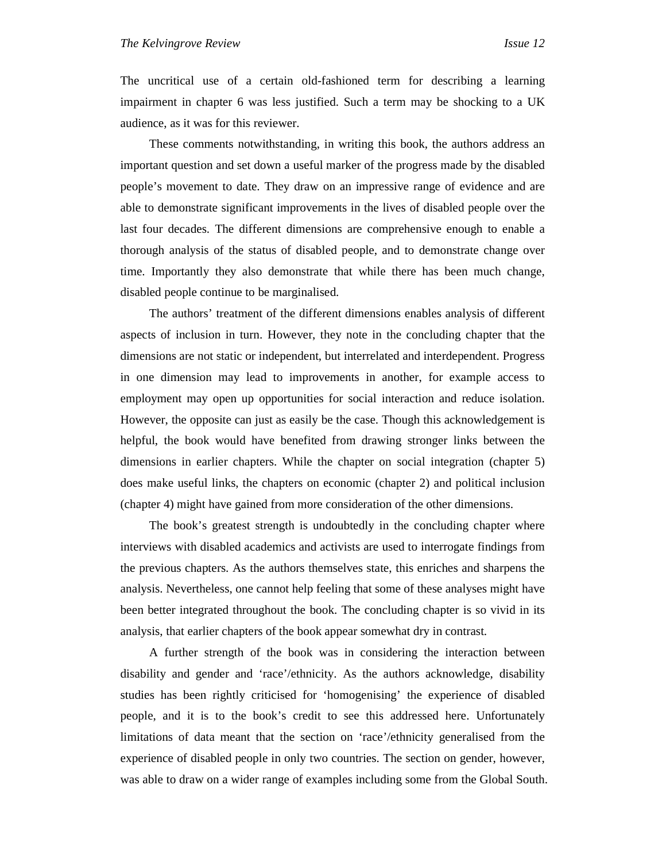The uncritical use of a certain old-fashioned term for describing a learning impairment in chapter 6 was less justified. Such a term may be shocking to a UK audience, as it was for this reviewer.

These comments notwithstanding, in writing this book, the authors address an important question and set down a useful marker of the progress made by the disabled people's movement to date. They draw on an impressive range of evidence and are able to demonstrate significant improvements in the lives of disabled people over the last four decades. The different dimensions are comprehensive enough to enable a thorough analysis of the status of disabled people, and to demonstrate change over time. Importantly they also demonstrate that while there has been much change, disabled people continue to be marginalised.

The authors' treatment of the different dimensions enables analysis of different aspects of inclusion in turn. However, they note in the concluding chapter that the dimensions are not static or independent, but interrelated and interdependent. Progress in one dimension may lead to improvements in another, for example access to employment may open up opportunities for social interaction and reduce isolation. However, the opposite can just as easily be the case. Though this acknowledgement is helpful, the book would have benefited from drawing stronger links between the dimensions in earlier chapters. While the chapter on social integration (chapter 5) does make useful links, the chapters on economic (chapter 2) and political inclusion (chapter 4) might have gained from more consideration of the other dimensions.

The book's greatest strength is undoubtedly in the concluding chapter where interviews with disabled academics and activists are used to interrogate findings from the previous chapters. As the authors themselves state, this enriches and sharpens the analysis. Nevertheless, one cannot help feeling that some of these analyses might have been better integrated throughout the book. The concluding chapter is so vivid in its analysis, that earlier chapters of the book appear somewhat dry in contrast.

A further strength of the book was in considering the interaction between disability and gender and 'race'/ethnicity. As the authors acknowledge, disability studies has been rightly criticised for 'homogenising' the experience of disabled people, and it is to the book's credit to see this addressed here. Unfortunately limitations of data meant that the section on 'race'/ethnicity generalised from the experience of disabled people in only two countries. The section on gender, however, was able to draw on a wider range of examples including some from the Global South.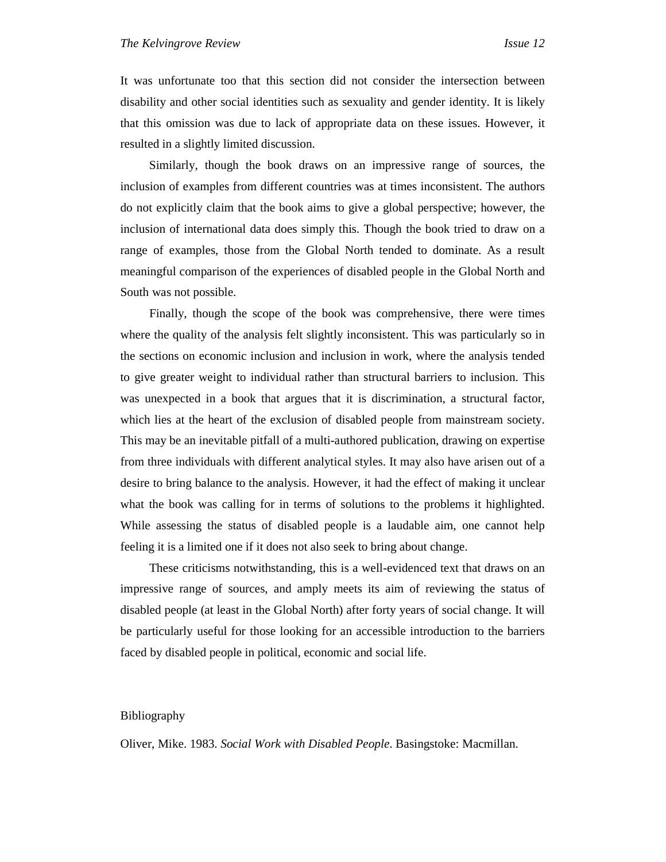It was unfortunate too that this section did not consider the intersection between disability and other social identities such as sexuality and gender identity. It is likely that this omission was due to lack of appropriate data on these issues. However, it resulted in a slightly limited discussion.

Similarly, though the book draws on an impressive range of sources, the inclusion of examples from different countries was at times inconsistent. The authors do not explicitly claim that the book aims to give a global perspective; however, the inclusion of international data does simply this. Though the book tried to draw on a range of examples, those from the Global North tended to dominate. As a result meaningful comparison of the experiences of disabled people in the Global North and South was not possible.

Finally, though the scope of the book was comprehensive, there were times where the quality of the analysis felt slightly inconsistent. This was particularly so in the sections on economic inclusion and inclusion in work, where the analysis tended to give greater weight to individual rather than structural barriers to inclusion. This was unexpected in a book that argues that it is discrimination, a structural factor, which lies at the heart of the exclusion of disabled people from mainstream society. This may be an inevitable pitfall of a multi-authored publication, drawing on expertise from three individuals with different analytical styles. It may also have arisen out of a desire to bring balance to the analysis. However, it had the effect of making it unclear what the book was calling for in terms of solutions to the problems it highlighted. While assessing the status of disabled people is a laudable aim, one cannot help feeling it is a limited one if it does not also seek to bring about change.

These criticisms notwithstanding, this is a well-evidenced text that draws on an impressive range of sources, and amply meets its aim of reviewing the status of disabled people (at least in the Global North) after forty years of social change. It will be particularly useful for those looking for an accessible introduction to the barriers faced by disabled people in political, economic and social life.

## Bibliography

Oliver, Mike. 1983. *Social Work with Disabled People*. Basingstoke: Macmillan.